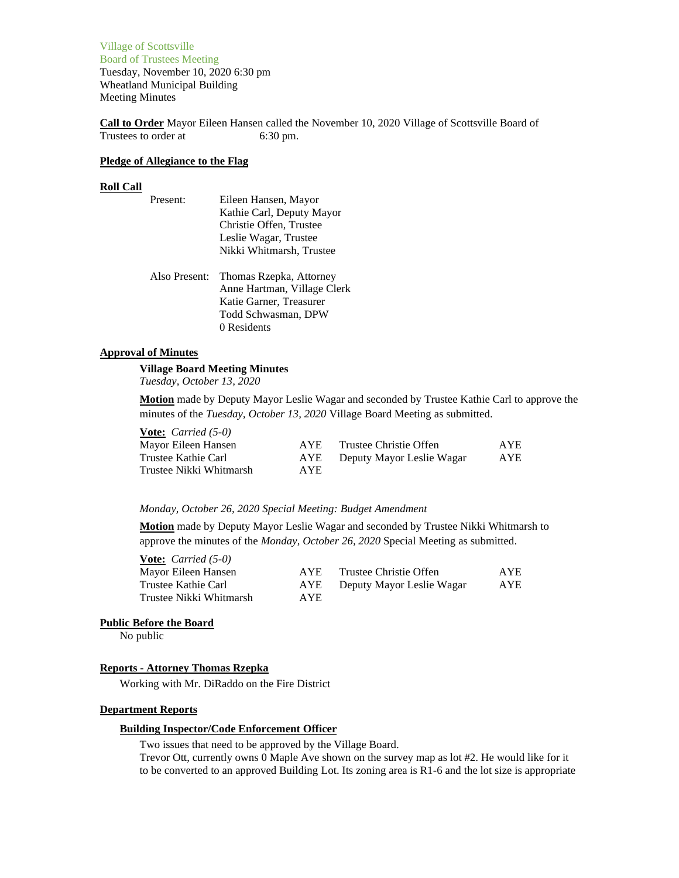Village of Scottsville Board of Trustees Meeting Tuesday, November 10, 2020 6:30 pm Wheatland Municipal Building Meeting Minutes

**Call to Order** Mayor Eileen Hansen called the November 10, 2020 Village of Scottsville Board of Trustees to order at 6:30 pm.

## **Pledge of Allegiance to the Flag**

#### **Roll Call**

| Present: | Eileen Hansen, Mayor      |
|----------|---------------------------|
|          | Kathie Carl, Deputy Mayor |
|          | Christie Offen, Trustee   |
|          | Leslie Wagar, Trustee     |
|          | Nikki Whitmarsh, Trustee  |
|          |                           |

Also Present: Thomas Rzepka, Attorney Anne Hartman, Village Clerk Katie Garner, Treasurer Todd Schwasman, DPW 0 Residents

## **Approval of Minutes**

# **Village Board Meeting Minutes**

*Tuesday, October 13, 2020*

**Motion** made by Deputy Mayor Leslie Wagar and seconded by Trustee Kathie Carl to approve the minutes of the *Tuesday, October 13, 2020* Village Board Meeting as submitted.

**Vote:** *Carried (5-0)* Mayor Eileen Hansen Trustee Kathie Carl

Trustee Nikki Whitmarsh

| AYE | Trustee Christie Offen    | <b>AYE</b> |
|-----|---------------------------|------------|
| AYE | Deputy Mayor Leslie Wagar | <b>AYE</b> |
| AYE |                           |            |

#### *Monday, October 26, 2020 Special Meeting: Budget Amendment*

**Motion** made by Deputy Mayor Leslie Wagar and seconded by Trustee Nikki Whitmarsh to approve the minutes of the *Monday, October 26, 2020* Special Meeting as submitted.

| <b>Vote:</b> <i>Carried</i> $(5-0)$ |            |                           |            |
|-------------------------------------|------------|---------------------------|------------|
| Mayor Eileen Hansen                 | AYE.       | Trustee Christie Offen    | <b>AYE</b> |
| Trustee Kathie Carl                 | AYE        | Deputy Mayor Leslie Wagar | AYE        |
| Trustee Nikki Whitmarsh             | <b>AYE</b> |                           |            |

#### **Public Before the Board**

No public

## **Reports - Attorney Thomas Rzepka**

Working with Mr. DiRaddo on the Fire District

### **Department Reports**

#### **Building Inspector/Code Enforcement Officer**

Two issues that need to be approved by the Village Board.

Trevor Ott, currently owns 0 Maple Ave shown on the survey map as lot #2. He would like for it to be converted to an approved Building Lot. Its zoning area is R1-6 and the lot size is appropriate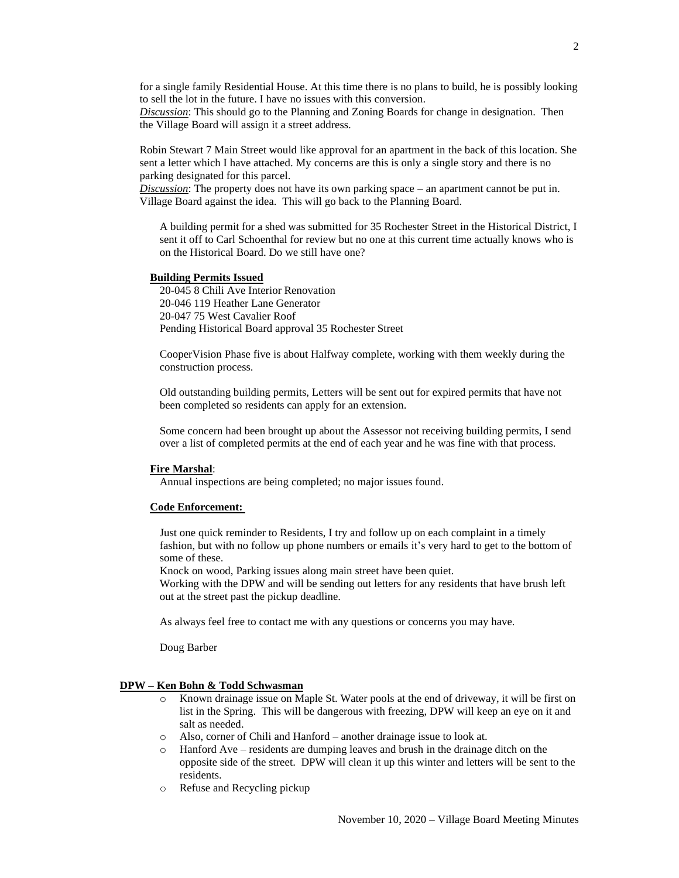for a single family Residential House. At this time there is no plans to build, he is possibly looking to sell the lot in the future. I have no issues with this conversion.

*Discussion*: This should go to the Planning and Zoning Boards for change in designation. Then the Village Board will assign it a street address.

Robin Stewart 7 Main Street would like approval for an apartment in the back of this location. She sent a letter which I have attached. My concerns are this is only a single story and there is no parking designated for this parcel.

*Discussion*: The property does not have its own parking space – an apartment cannot be put in. Village Board against the idea. This will go back to the Planning Board.

A building permit for a shed was submitted for 35 Rochester Street in the Historical District, I sent it off to Carl Schoenthal for review but no one at this current time actually knows who is on the Historical Board. Do we still have one?

#### **Building Permits Issued**

20-045 8 Chili Ave Interior Renovation 20-046 119 Heather Lane Generator 20-047 75 West Cavalier Roof Pending Historical Board approval 35 Rochester Street

CooperVision Phase five is about Halfway complete, working with them weekly during the construction process.

Old outstanding building permits, Letters will be sent out for expired permits that have not been completed so residents can apply for an extension.

Some concern had been brought up about the Assessor not receiving building permits, I send over a list of completed permits at the end of each year and he was fine with that process.

#### **Fire Marshal**:

Annual inspections are being completed; no major issues found.

#### **Code Enforcement:**

Just one quick reminder to Residents, I try and follow up on each complaint in a timely fashion, but with no follow up phone numbers or emails it's very hard to get to the bottom of some of these.

Knock on wood, Parking issues along main street have been quiet.

Working with the DPW and will be sending out letters for any residents that have brush left out at the street past the pickup deadline.

As always feel free to contact me with any questions or concerns you may have.

Doug Barber

## **DPW – Ken Bohn & Todd Schwasman**

- o Known drainage issue on Maple St. Water pools at the end of driveway, it will be first on list in the Spring. This will be dangerous with freezing, DPW will keep an eye on it and salt as needed.
- o Also, corner of Chili and Hanford another drainage issue to look at.
- o Hanford Ave residents are dumping leaves and brush in the drainage ditch on the opposite side of the street. DPW will clean it up this winter and letters will be sent to the residents.
- o Refuse and Recycling pickup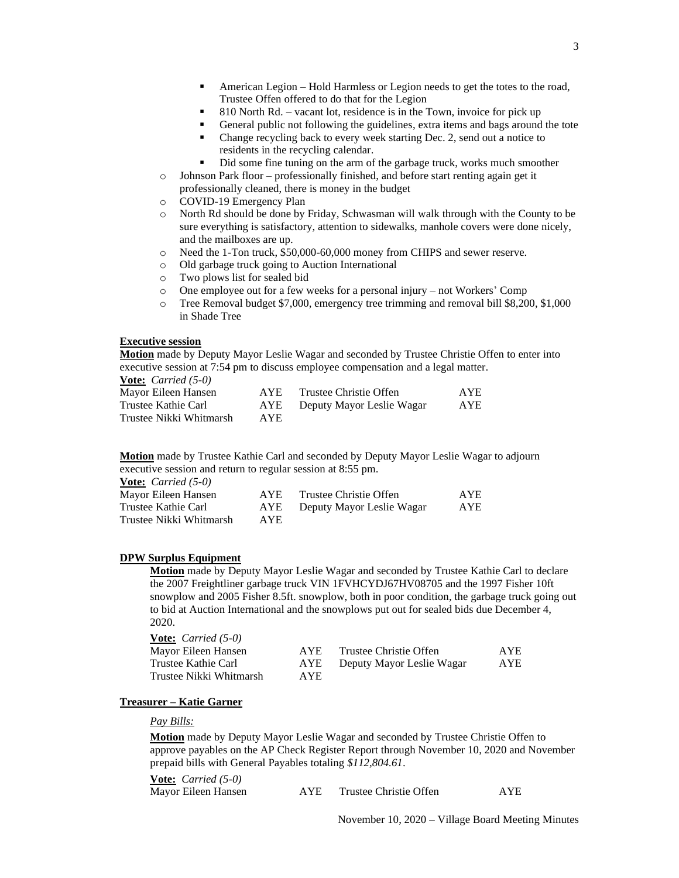- American Legion Hold Harmless or Legion needs to get the totes to the road, Trustee Offen offered to do that for the Legion
- 810 North Rd. vacant lot, residence is in the Town, invoice for pick up
- General public not following the guidelines, extra items and bags around the tote
- Change recycling back to every week starting Dec. 2, send out a notice to residents in the recycling calendar.
- Did some fine tuning on the arm of the garbage truck, works much smoother
- o Johnson Park floor professionally finished, and before start renting again get it professionally cleaned, there is money in the budget
- o COVID-19 Emergency Plan
- o North Rd should be done by Friday, Schwasman will walk through with the County to be sure everything is satisfactory, attention to sidewalks, manhole covers were done nicely, and the mailboxes are up.
- o Need the 1-Ton truck, \$50,000-60,000 money from CHIPS and sewer reserve.
- o Old garbage truck going to Auction International
- o Two plows list for sealed bid
- o One employee out for a few weeks for a personal injury not Workers' Comp
- o Tree Removal budget \$7,000, emergency tree trimming and removal bill \$8,200, \$1,000 in Shade Tree

## **Executive session**

**Motion** made by Deputy Mayor Leslie Wagar and seconded by Trustee Christie Offen to enter into executive session at 7:54 pm to discuss employee compensation and a legal matter.

**Vote:** *Carried (5-0)*

| Mayor Eileen Hansen     | AYE. | Trustee Christie Offen    | <b>AYE</b> |
|-------------------------|------|---------------------------|------------|
| Trustee Kathie Carl     | AYE  | Deputy Mayor Leslie Wagar | <b>AYE</b> |
| Trustee Nikki Whitmarsh | AYE. |                           |            |

**Motion** made by Trustee Kathie Carl and seconded by Deputy Mayor Leslie Wagar to adjourn executive session and return to regular session at 8:55 pm.

**Vote:** *Carried (5-0)*

| Mayor Eileen Hansen     | AYE  | Trustee Christie Offen    | <b>AYE</b> |
|-------------------------|------|---------------------------|------------|
| Trustee Kathie Carl     | AYE  | Deputy Mayor Leslie Wagar | AYE        |
| Trustee Nikki Whitmarsh | AYE. |                           |            |

#### **DPW Surplus Equipment**

**Motion** made by Deputy Mayor Leslie Wagar and seconded by Trustee Kathie Carl to declare the 2007 Freightliner garbage truck VIN 1FVHCYDJ67HV08705 and the 1997 Fisher 10ft snowplow and 2005 Fisher 8.5ft. snowplow, both in poor condition, the garbage truck going out to bid at Auction International and the snowplows put out for sealed bids due December 4, 2020.

| <b><u>Vote:</u></b> <i>Carried</i> $(5-0)$ |      |                           |            |
|--------------------------------------------|------|---------------------------|------------|
| Mayor Eileen Hansen                        | AYE. | Trustee Christie Offen    | AYE.       |
| Trustee Kathie Carl                        | AYE  | Deputy Mayor Leslie Wagar | <b>AYE</b> |
| Trustee Nikki Whitmarsh                    | AYE. |                           |            |

#### **Treasurer – Katie Garner**

#### *Pay Bills:*

**Motion** made by Deputy Mayor Leslie Wagar and seconded by Trustee Christie Offen to approve payables on the AP Check Register Report through November 10, 2020 and November prepaid bills with General Payables totaling *\$112,804.61*.

| <b>Vote:</b> Carried (5-0) |                        |     |
|----------------------------|------------------------|-----|
| Mayor Eileen Hansen        | Trustee Christie Offen | AYF |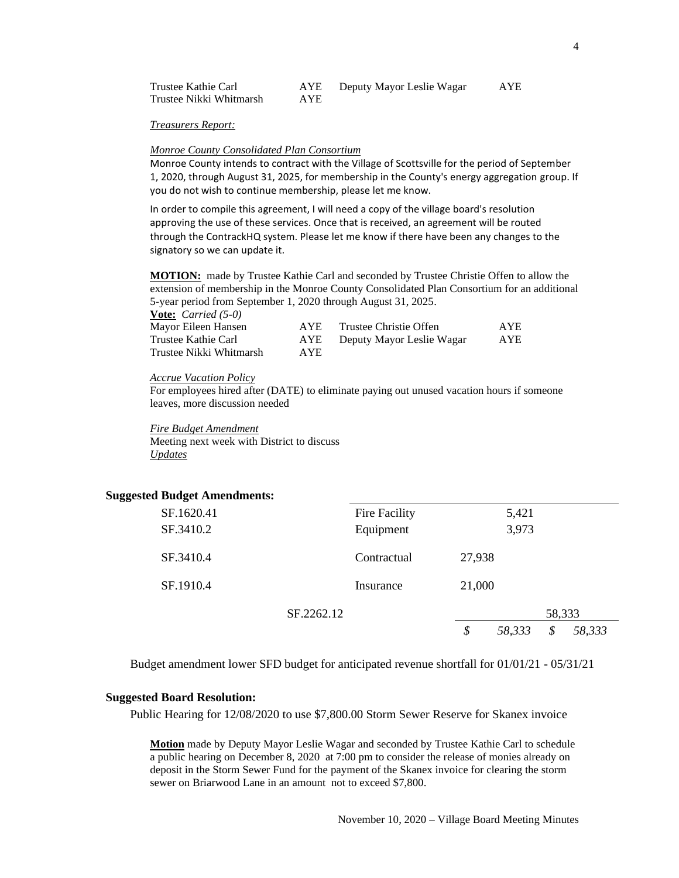| Trustee Kathie Carl     | AYE  | Deputy Mayor Leslie Wagar | AYE |
|-------------------------|------|---------------------------|-----|
| Trustee Nikki Whitmarsh | AYE. |                           |     |

*Treasurers Report:*

### *Monroe County Consolidated Plan Consortium*

Monroe County intends to contract with the Village of Scottsville for the period of September 1, 2020, through August 31, 2025, for membership in the County's energy aggregation group. If you do not wish to continue membership, please let me know.

In order to compile this agreement, I will need a copy of the village board's resolution approving the use of these services. Once that is received, an agreement will be routed through the ContrackHQ system. Please let me know if there have been any changes to the signatory so we can update it.

**MOTION:** made by Trustee Kathie Carl and seconded by Trustee Christie Offen to allow the extension of membership in the Monroe County Consolidated Plan Consortium for an additional 5-year period from September 1, 2020 through August 31, 2025.

| <b>Vote:</b> <i>Carried</i> $(5-0)$ |      |                           |            |
|-------------------------------------|------|---------------------------|------------|
| Mayor Eileen Hansen                 | AYE. | Trustee Christie Offen    | <b>AYE</b> |
| Trustee Kathie Carl                 | AYE  | Deputy Mayor Leslie Wagar | <b>AYE</b> |
| Trustee Nikki Whitmarsh             | AYE. |                           |            |

#### *Accrue Vacation Policy*

For employees hired after (DATE) to eliminate paying out unused vacation hours if someone leaves, more discussion needed

*Fire Budget Amendment* Meeting next week with District to discuss *Updates*

## **Suggested Budget Amendments:**

| SF.1620.41 |            | Fire Facility |        | 5,421  |        |        |
|------------|------------|---------------|--------|--------|--------|--------|
| SF.3410.2  |            | Equipment     |        | 3,973  |        |        |
| SF.3410.4  |            | Contractual   | 27,938 |        |        |        |
| SF.1910.4  |            | Insurance     | 21,000 |        |        |        |
|            | SF.2262.12 |               |        |        | 58,333 |        |
|            |            |               | \$     | 58,333 | \$     | 58,333 |

Budget amendment lower SFD budget for anticipated revenue shortfall for 01/01/21 - 05/31/21

## **Suggested Board Resolution:**

Public Hearing for 12/08/2020 to use \$7,800.00 Storm Sewer Reserve for Skanex invoice

**Motion** made by Deputy Mayor Leslie Wagar and seconded by Trustee Kathie Carl to schedule a public hearing on December 8, 2020 at 7:00 pm to consider the release of monies already on deposit in the Storm Sewer Fund for the payment of the Skanex invoice for clearing the storm sewer on Briarwood Lane in an amount not to exceed \$7,800.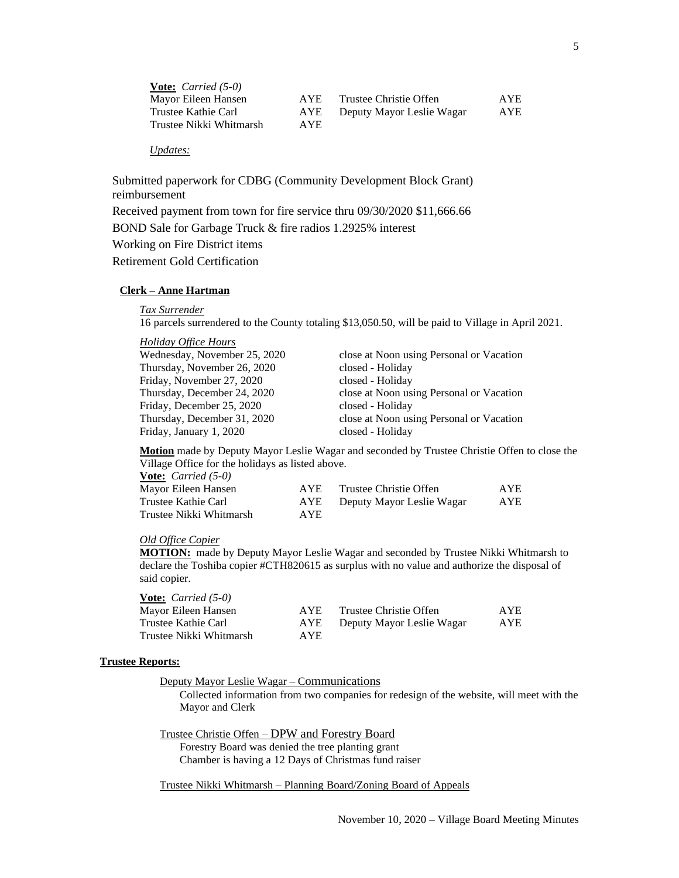| <b>Vote:</b> <i>Carried</i> $(5-0)$ |      |                           |            |
|-------------------------------------|------|---------------------------|------------|
| Mayor Eileen Hansen                 | AYE. | Trustee Christie Offen    | AYE        |
| Trustee Kathie Carl                 | AYE  | Deputy Mayor Leslie Wagar | <b>AYE</b> |
| Trustee Nikki Whitmarsh             | AYE. |                           |            |

## *Updates:*

Submitted paperwork for CDBG (Community Development Block Grant) reimbursement Received payment from town for fire service thru 09/30/2020 \$11,666.66 BOND Sale for Garbage Truck & fire radios 1.2925% interest Working on Fire District items Retirement Gold Certification

### **Clerk – Anne Hartman**

*Tax Surrender*

16 parcels surrendered to the County totaling \$13,050.50, will be paid to Village in April 2021.

#### *Holiday Office Hours*

| Wednesday, November 25, 2020 | close at Noon using Personal or Vacation |
|------------------------------|------------------------------------------|
| Thursday, November 26, 2020  | closed - Holiday                         |
| Friday, November 27, 2020    | closed - Holiday                         |
| Thursday, December 24, 2020  | close at Noon using Personal or Vacation |
| Friday, December 25, 2020    | closed - Holiday                         |
| Thursday, December 31, 2020  | close at Noon using Personal or Vacation |
| Friday, January 1, 2020      | closed - Holiday                         |

**Motion** made by Deputy Mayor Leslie Wagar and seconded by Trustee Christie Offen to close the Village Office for the holidays as listed above.

**Vote:** *Carried (5-0)* Mayor Eileen Hansen

| Mayor Eileen Hansen     | AYE. | Trustee Christie Offen    | <b>AYE</b> |
|-------------------------|------|---------------------------|------------|
| Trustee Kathie Carl     | AYE  | Deputy Mayor Leslie Wagar | AYE        |
| Trustee Nikki Whitmarsh | AYE  |                           |            |

#### *Old Office Copier*

**MOTION:** made by Deputy Mayor Leslie Wagar and seconded by Trustee Nikki Whitmarsh to declare the Toshiba copier #CTH820615 as surplus with no value and authorize the disposal of said copier.

## **Vote:** *Carried (5-0)*

| Mayor Eileen Hansen     | AYE.       | Trustee Christie Offen    | AYE |
|-------------------------|------------|---------------------------|-----|
| Trustee Kathie Carl     | AYE        | Deputy Mayor Leslie Wagar | AYE |
| Trustee Nikki Whitmarsh | <b>AYE</b> |                           |     |

#### **Trustee Reports:**

Deputy Mayor Leslie Wagar – Communications

Collected information from two companies for redesign of the website, will meet with the Mayor and Clerk

Trustee Christie Offen – DPW and Forestry Board Forestry Board was denied the tree planting grant Chamber is having a 12 Days of Christmas fund raiser

Trustee Nikki Whitmarsh – Planning Board/Zoning Board of Appeals